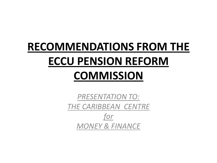# **RECOMMENDATIONS FROM THE ECCU PENSION REFORM**

## **COMMISSION**

*PRESENTATION TO: THE CARIBBEAN CENTRE for MONEY & FINANCE*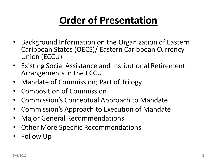## **Order of Presentation**

- Background Information on the Organization of Eastern Caribbean States (OECS)/ Eastern Caribbean Currency Union (ECCU)
- Existing Social Assistance and Institutional Retirement Arrangements in the ECCU
- Mandate of Commission; Part of Trilogy
- Composition of Commission
- Commission's Conceptual Approach to Mandate
- Commission's Approach to Execution of Mandate
- Major General Recommendations
- Other More Specific Recommendations
- Follow Up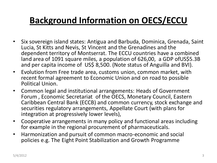#### **Background Information on OECS/ECCU**

- Six sovereign island states: Antigua and Barbuda, Dominica, Grenada, Saint Lucia, St Kitts and Nevis, St Vincent and the Grenadines and the dependent territory of Montserrat. The ECCU countries have a combined land area of 1091 square miles, a population of 626,00, a GDP ofUS\$5.3B and per capita income of US\$ 8,500. (Note status of Anguilla and BVI).
- Evolution from Free trade area, customs union, common market, with recent formal agreement to Economic Union and on road to possible Political Union.
- Common legal and institutional arrangements: Heads of Government Forum , Economic Secretariat of the OECS, Monetary Council, Eastern Caribbean Central Bank (ECCB) and common currency, stock exchange and securities regulatory arrangements, Appellate Court (with plans for integration at progressively lower levels),
- Cooperative arrangements in many policy and functional areas including for example in the regional procurement of pharmaceuticals.
- Harmonization and pursuit of common macro-economic and social policies e.g. The Eight Point Stabilization and Growth Programme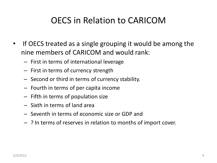#### OECS in Relation to CARICOM

- If OECS treated as a single grouping it would be among the nine members of CARICOM and would rank:
	- First in terms of international leverage
	- First in terms of currency strength
	- Second or third in terms of currency stability.
	- Fourth in terms of per capita income
	- Fifth in terms of population size
	- Sixth in terms of land area
	- Seventh in terms of economic size or GDP and
	- ? In terms of reserves in relation to months of import cover.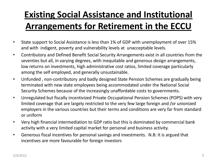## **Existing Social Assistance and Institutional Arrangements for Retirement in the ECCU**

- State support to Social Assistance is less than 1% of GDP with unemployment of over 15% and with indigent, poverty and vulnerability levels at unacceptable levels.
- Contributory and Defined Benefit Social Security Arrangements exist in all countries from the seventies but all, in varying degrees, with inequitable and generous design arrangements, low returns on investments, high administrative cost ratios, limited coverage particularly among the self employed, and generally unsustainable.
- Unfunded , non-contributory and badly designed State Pension Schemes are gradually being terminated with new state employees being accommodated under the National Social Security Schemes because of the increasingly unaffordable costs to governments.
- Unregulated but fiscally incentivized Private Occupational Pension Schemes (POPS) with very limited coverage that are largely restricted to the very few large foreign and /or unionized employers in the various countries but their terms and conditions are very far from standard or uniform
- Very high financial intermediation to GDP ratio but this is dominated by commercial bank activity with a very limited capital market for personal and business activity.
- Generous fiscal incentives for personal savings and investments. N.B: It is argued that incentives are more favourable for foreign investors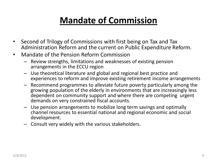### **Mandate of Commission**

- Second of Trilogy of Commissions with first being on Tax and Tax Administration Reform and the current on Public Expenditure Reform.
- Mandate of the Pension Reform Commission
	- Review strengths, limitations and weaknesses of existing pension arrangements in the ECCU region
	- Use theoretical literature and global and regional best practice and experiences to reform and improve existing retirement income arrangements
	- Recommend programmes to alleviate future poverty particularly among the growing population of the elderly in environments that are increasingly less dependent on community support and where there are competing urgent demands on very constrained fiscal accounts.
	- Use pension arrangements to mobilize long term savings and optimally channel resources to essential national and regional economic and social development.
	- Consult very widely with the various stakeholders.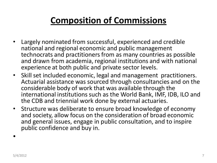#### **Composition of Commissions**

- Largely nominated from successful, experienced and credible national and regional economic and public management technocrats and practitioners from as many countries as possible and drawn from academia, regional institutions and with national experience at both public and private sector levels.
- Skill set included economic, legal and management practitioners. Actuarial assistance was sourced through consultancies and on the considerable body of work that was available through the international institutions such as the World Bank, IMF, IDB, ILO and the CDB and triennial work done by external actuaries.
- Structure was deliberate to ensure broad knowledge of economy and society, allow focus on the consideration of broad economic and general issues, engage in public consultation, and to inspire public confidence and buy in.

•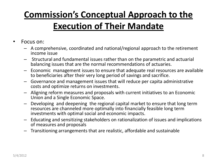## **Commission's Conceptual Approach to the Execution of Their Mandate**

- Focus on:
	- A comprehensive, coordinated and national/regional approach to the retirement income issue
	- Structural and fundamental issues rather than on the parametric and actuarial balancing issues that are the normal recommendations of actuaries.
	- Economic management issues to ensure that adequate real resources are available to beneficiaries after their very long period of savings and sacrifice.
	- Governance and management issues that will reduce per capita administrative costs and optimize returns on investments.
	- Aligning reform measures and proposals with current initiatives to an Economic Union and a Single Economic Space.
	- Developing and deepening the regional capital market to ensure that long term resources are channeled more optimally into financially feasible long term investments with optimal social and economic impacts.
	- Educating and sensitizing stakeholders on rationalization of issues and implications of measures and proposals
	- Transitioning arrangements that are realistic, affordable and sustainable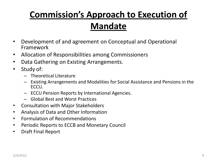## **Commission's Approach to Execution of Mandate**

- Development of and agreement on Conceptual and Operational Framework
- Allocation of Responsibilities among Commissioners
- Data Gathering on Existing Arrangements.
- Study of:
	- Theoretical Literature
	- Existing Arrangements and Modalities for Social Assistance and Pensions in the ECCU.
	- ECCU Pension Reports by International Agencies.
	- Global Best and Worst Practices
- Consultation with Major Stakeholders
- Analysis of Data and Other Information
- Formulation of Recommendations
- Periodic Reports to ECCB and Monetary Council
- Draft Final Report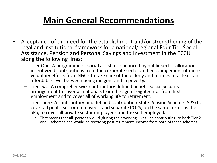#### **Main General Recommendations**

- Acceptance of the need for the establishment and/or strengthening of the legal and institutional framework for a national/regional Four Tier Social Assistance, Pension and Personal Savings and Investment in the ECCU along the following lines:
	- Tier One: A programme of social assistance financed by public sector allocations, incentivized contributions from the corporate sector and encouragement of more voluntary efforts from NGOs to take care of the elderly and retirees to at least an affordable level between being indigent and in poverty.
	- Tier Two: A comprehensive, contributory defined benefit Social Security arrangement to cover all nationals from the age of eighteen or from first employment and to cover all of working life to retirement.
	- Tier Three: A contributory and defined contribution State Pension Scheme (SPS) to cover all public sector employees; and separate POPS, on the same terms as the SPS, to cover all private sector employees and the self employed.
		- That means that all persons would ,during their working lives , be contributing to both Tier 2 and 3 schemes and would be receiving post retirement income from both of these schemes.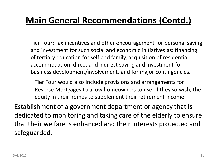#### **Main General Recommendations (Contd.)**

– Tier Four: Tax incentives and other encouragement for personal saving and investment for such social and economic initiatives as: financing of tertiary education for self and family, acquisition of residential accommodation, direct and indirect saving and investment for business development/involvement, and for major contingencies.

Tier Four would also include provisions and arrangements for Reverse Mortgages to allow homeowners to use, if they so wish, the equity in their homes to supplement their retirement income.

Establishment of a government department or agency that is dedicated to monitoring and taking care of the elderly to ensure that their welfare is enhanced and their interests protected and safeguarded.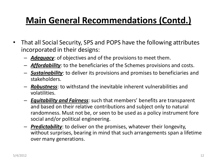#### **Main General Recommendations (Contd.)**

- That all Social Security, SPS and POPS have the following attributes incorporated in their designs:
	- *Adequacy*: of objectives and of the provisions to meet them.
	- *Affordability*: to the beneficiaries of the Schemes provisions and costs.
	- *Sustainability*: to deliver its provisions and promises to beneficiaries and stakeholders.
	- *Robustness*: to withstand the inevitable inherent vulnerabilities and volatilities.
	- *Equitability and Fairness*: such that members' benefits are transparent and based on their relative contributions and subject only to natural randomness. Must not be, or seen to be used as a policy instrument fore social and/or political engineering.
	- *Predictability*: to deliver on the promises, whatever their longevity, without surprises, bearing in mind that such arrangements span a lifetime over many generations.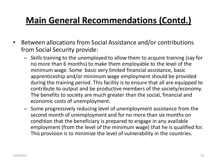#### **Main General Recommendations (Contd.)**

- Between allocations from Social Assistance and/or contributions from Social Security provide:
	- Skills training to the unemployed to allow them to acquire training (say for no more than 6 months) to make them employable to the level of the minimum wage. Some basic very limited financial assistance, basic apprenticeship and/or minimum wage employment should be provided during the training period. This facility is to ensure that all are equipped to contribute to output and be productive members of the society/economy. The benefits to society are much greater than the social, financial and economic costs of unemployment.
	- Some progressively reducing level of unemployment assistance from the second month of unemployment and for no more than six months on condition that the beneficiary is prepared to engage in any available employment (from the level of the minimum wage) that he is qualified for. This provision is to minimize the level of vulnerability in the countries.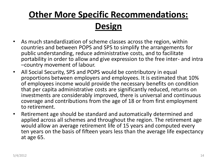#### **Other More Specific Recommendations: Design**

- As much standardization of scheme classes across the region, within countries and between POPS and SPS to simplify the arrangements for public understanding, reduce administrative costs, and to facilitate portability in order to allow and give expression to the free inter- and intra –country movement of labour.
- All Social Security, SPS and POPS would be contributory in equal proportions between employers and employees. It is estimated that 10% of employees income would provide the necessary benefits on condition that per capita administrative costs are significantly reduced, returns on investments are considerably improved, there is universal and continuous coverage and contributions from the age of 18 or from first employment to retirement.
- Retirement age should be standard and automatically determined and applied across all schemes and throughout the region. The retirement age would allow an average retirement life of 15 years and computed every ten years on the basis of fifteen years less than the average life expectancy at age 65.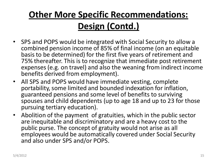## **Other More Specific Recommendations: Design (Contd.)**

- SPS and POPS would be integrated with Social Security to allow a combined pension income of 85% of final income (on an equitable basis to be determined) for the first five years of retirement and 75% thereafter. This is to recognize that immediate post retirement expenses (e.g. on travel) and also the weaning from indirect income benefits derived from employment).
- All SPS and POPS would have immediate vesting, complete portability, some limited and bounded indexation for inflation, guaranteed pensions and some level of benefits to surviving spouses and child dependents (up to age 18 and up to 23 for those pursuing tertiary education).
- Abolition of the payment of gratuities, which in the public sector are inequitable and discriminatory and are a heavy cost to the public purse. The concept of gratuity would not arise as all employees would be automatically covered under Social Security and also under SPS and/or POPS.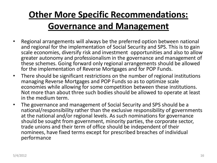## **Other More Specific Recommendations: Governance and Management**

- Regional arrangements will always be the preferred option between national and regional for the implementation of Social Security and SPS. This is to gain scale economies, diversify risk and investment opportunities and also to allow greater autonomy and professionalism in the governance and management of these schemes. Going forward only regional arrangements should be allowed for the implementation of Reverse Mortgages and for POP Funds.
- There should be significant restrictions on the number of regional institutions managing Reverse Mortgages and POP Funds so as to optimize scale economies while allowing for some competition between these institutions. Not more than about three such bodies should be allowed to operate at least in the medium term.
- The governance and management of Social Security and SPS should be a national/responsibility rather than the exclusive responsibility of governments at the national and/or regional levels. As such nominations for governance should be sought from government, minority parties, the corporate sector, trade unions and their term of office should be independent of their nominees, have fixed terms except for prescribed breaches of individual performance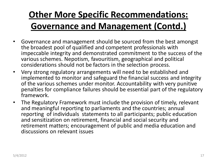## **Other More Specific Recommendations: Governance and Management (Contd.)**

- Governance and management should be sourced from the best amongst the broadest pool of qualified and competent professionals with impeccable integrity and demonstrated commitment to the success of the various schemes. Nepotism, favouritism, geographical and political considerations should not be factors in the selection process.
- Very strong regulatory arrangements will need to be established and implemented to monitor and safeguard the financial success and integrity of the various schemes under monitor. Accountability with very punitive penalties for compliance failures should be essential part of the regulatory framework.
- The Regulatory Framework must include the provision of timely, relevant and meaningful reporting to parliaments and the countries; annual reporting of individuals statements to all participants; public education and sensitization on retirement, financial and social security and retirement matters; encouragement of public and media education and discussions on relevant issues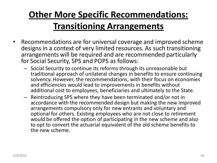## **Other More Specific Recommendations: Transitioning Arrangements**

- Recommendations are for universal coverage and improved scheme designs in a context of very limited resources. As such transitioning arrangements will be required and are recommended particularly for Social Security, SPS and POPS as follows:
	- Social Security to continue its reforms through its unreasonable but traditional approach of unilateral changes in benefits to ensure continuing solvency. However, the recommendations, with their focus on economies and efficiencies would lead to improvements in benefits without additional cost to employees, beneficiaries and ultimately to the State.
	- Reintroducing SPS where they have been terminated and/or not in accordance with the recommended design but making the new improved arrangements compulsory only for new entrants and voluntary and optional for others. Existing employees who are not close to retirement would be offered the option of participating in the new scheme and also to opt to convert the actuarial equivalent of the old scheme benefits to the new scheme.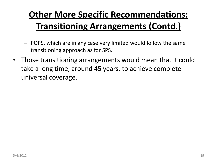## **Other More Specific Recommendations: Transitioning Arrangements (Contd.)**

- POPS, which are in any case very limited would follow the same transitioning approach as for SPS.
- Those transitioning arrangements would mean that it could take a long time, around 45 years, to achieve complete universal coverage.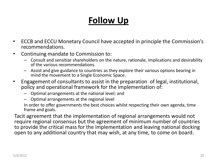#### **Follow Up**

- ECCB and ECCU Monetary Council have accepted in principle the Commission's recommendations.
- Continuing mandate to Commission to:
	- Consult and sensitize shareholders on the nature, rationale, implications and desirability of the various recommendations.
	- Assist and give guidance to countries as they explore their various options bearing in mind the movement to a Single Economic Space.
- Engagement of consultants to assist in the preparation of legal, institutional, policy and operational framework for the implementation of:
	- Optimal arrangements at the national level; and
	- Optimal arrangements at the regional level

In order to offer governments the best choices whilst respecting their own agenda, time frame and goals.

Tacit agreement that the implementation of regional arrangements would not require regional consensus but the agreement of minimum number of countries to provide the critical mass for the implementation and leaving national docking open to any additional country that may wish, at any time, to come on board.